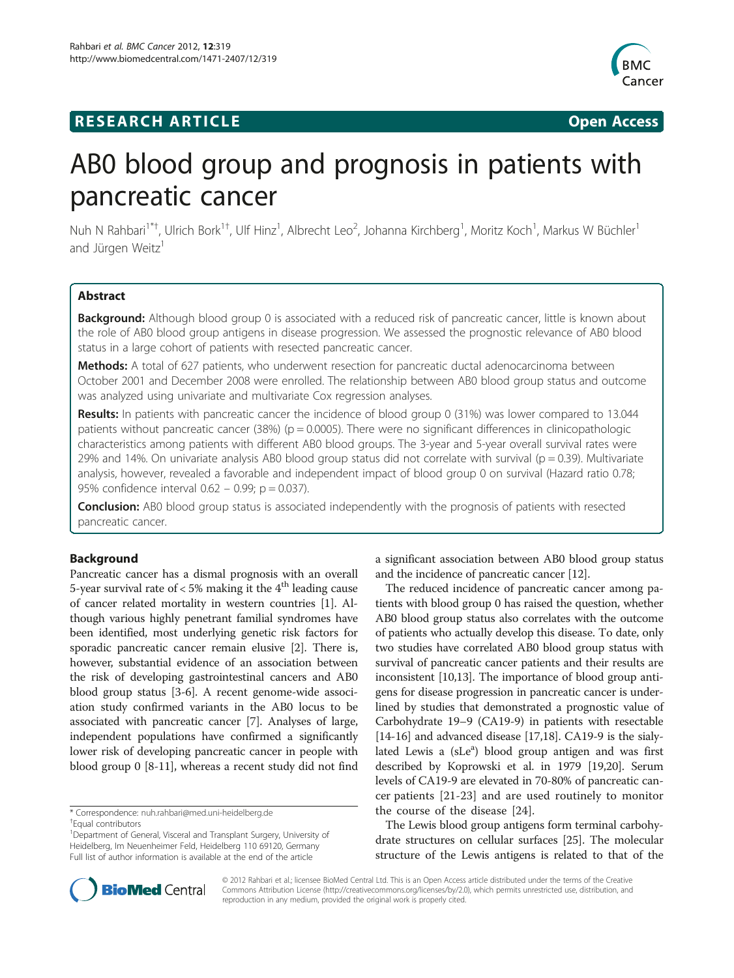# **RESEARCH ARTICLE Example 2018 12:00 THE Open Access**



# AB0 blood group and prognosis in patients with pancreatic cancer

Nuh N Rahbari<sup>1\*†</sup>, Ulrich Bork<sup>1†</sup>, Ulf Hinz<sup>1</sup>, Albrecht Leo<sup>2</sup>, Johanna Kirchberg<sup>1</sup>, Moritz Koch<sup>1</sup>, Markus W Büchler<sup>1</sup> and Jürgen Weitz<sup>1</sup>

# Abstract

Background: Although blood group 0 is associated with a reduced risk of pancreatic cancer, little is known about the role of AB0 blood group antigens in disease progression. We assessed the prognostic relevance of AB0 blood status in a large cohort of patients with resected pancreatic cancer.

Methods: A total of 627 patients, who underwent resection for pancreatic ductal adenocarcinoma between October 2001 and December 2008 were enrolled. The relationship between AB0 blood group status and outcome was analyzed using univariate and multivariate Cox regression analyses.

Results: In patients with pancreatic cancer the incidence of blood group 0 (31%) was lower compared to 13.044 patients without pancreatic cancer (38%) ( $p = 0.0005$ ). There were no significant differences in clinicopathologic characteristics among patients with different AB0 blood groups. The 3-year and 5-year overall survival rates were 29% and 14%. On univariate analysis AB0 blood group status did not correlate with survival ( $p = 0.39$ ). Multivariate analysis, however, revealed a favorable and independent impact of blood group 0 on survival (Hazard ratio 0.78; 95% confidence interval 0.62 – 0.99; p = 0.037).

**Conclusion:** AB0 blood group status is associated independently with the prognosis of patients with resected pancreatic cancer.

# Background

Pancreatic cancer has a dismal prognosis with an overall 5-year survival rate of  $<$  5% making it the 4<sup>th</sup> leading cause of cancer related mortality in western countries [\[1](#page-6-0)]. Although various highly penetrant familial syndromes have been identified, most underlying genetic risk factors for sporadic pancreatic cancer remain elusive [\[2\]](#page-6-0). There is, however, substantial evidence of an association between the risk of developing gastrointestinal cancers and AB0 blood group status [\[3](#page-6-0)[-6](#page-7-0)]. A recent genome-wide association study confirmed variants in the AB0 locus to be associated with pancreatic cancer [[7\]](#page-7-0). Analyses of large, independent populations have confirmed a significantly lower risk of developing pancreatic cancer in people with blood group 0 [\[8](#page-7-0)-[11](#page-7-0)], whereas a recent study did not find

a significant association between AB0 blood group status and the incidence of pancreatic cancer [\[12\]](#page-7-0).

The reduced incidence of pancreatic cancer among patients with blood group 0 has raised the question, whether AB0 blood group status also correlates with the outcome of patients who actually develop this disease. To date, only two studies have correlated AB0 blood group status with survival of pancreatic cancer patients and their results are inconsistent [\[10,13](#page-7-0)]. The importance of blood group antigens for disease progression in pancreatic cancer is underlined by studies that demonstrated a prognostic value of Carbohydrate 19–9 (CA19-9) in patients with resectable [[14](#page-7-0)-[16\]](#page-7-0) and advanced disease [[17](#page-7-0),[18](#page-7-0)]. CA19-9 is the sialylated Lewis a (sLe<sup>a</sup>) blood group antigen and was first described by Koprowski et al. in 1979 [\[19,20\]](#page-7-0). Serum levels of CA19-9 are elevated in 70-80% of pancreatic cancer patients [[21](#page-7-0)-[23\]](#page-7-0) and are used routinely to monitor the course of the disease [[24\]](#page-7-0).

The Lewis blood group antigens form terminal carbohydrate structures on cellular surfaces [[25](#page-7-0)]. The molecular structure of the Lewis antigens is related to that of the



© 2012 Rahbari et al.; licensee BioMed Central Ltd. This is an Open Access article distributed under the terms of the Creative Commons Attribution License [\(http://creativecommons.org/licenses/by/2.0\)](http://creativecommons.org/licenses/by/2.0), which permits unrestricted use, distribution, and reproduction in any medium, provided the original work is properly cited.

<sup>\*</sup> Correspondence: [nuh.rahbari@med.uni-heidelberg.de](mailto:nuh.rahbari@med.uni-eidelberg.de) †

Equal contributors

<sup>&</sup>lt;sup>1</sup>Department of General, Visceral and Transplant Surgery, University of Heidelberg, Im Neuenheimer Feld, Heidelberg 110 69120, Germany Full list of author information is available at the end of the article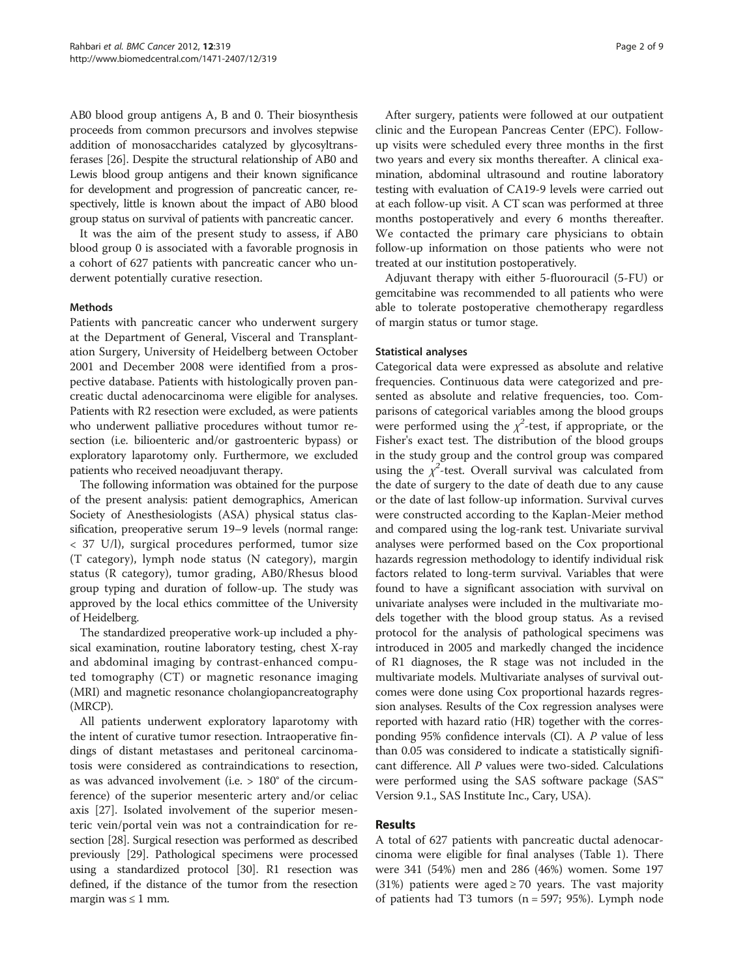AB0 blood group antigens A, B and 0. Their biosynthesis proceeds from common precursors and involves stepwise addition of monosaccharides catalyzed by glycosyltransferases [[26](#page-7-0)]. Despite the structural relationship of AB0 and Lewis blood group antigens and their known significance for development and progression of pancreatic cancer, respectively, little is known about the impact of AB0 blood group status on survival of patients with pancreatic cancer.

It was the aim of the present study to assess, if AB0 blood group 0 is associated with a favorable prognosis in a cohort of 627 patients with pancreatic cancer who underwent potentially curative resection.

### Methods

Patients with pancreatic cancer who underwent surgery at the Department of General, Visceral and Transplantation Surgery, University of Heidelberg between October 2001 and December 2008 were identified from a prospective database. Patients with histologically proven pancreatic ductal adenocarcinoma were eligible for analyses. Patients with R2 resection were excluded, as were patients who underwent palliative procedures without tumor resection (i.e. bilioenteric and/or gastroenteric bypass) or exploratory laparotomy only. Furthermore, we excluded patients who received neoadjuvant therapy.

The following information was obtained for the purpose of the present analysis: patient demographics, American Society of Anesthesiologists (ASA) physical status classification, preoperative serum 19–9 levels (normal range: < 37 U/l), surgical procedures performed, tumor size (T category), lymph node status (N category), margin status (R category), tumor grading, AB0/Rhesus blood group typing and duration of follow-up. The study was approved by the local ethics committee of the University of Heidelberg.

The standardized preoperative work-up included a physical examination, routine laboratory testing, chest X-ray and abdominal imaging by contrast-enhanced computed tomography (CT) or magnetic resonance imaging (MRI) and magnetic resonance cholangiopancreatography (MRCP).

All patients underwent exploratory laparotomy with the intent of curative tumor resection. Intraoperative findings of distant metastases and peritoneal carcinomatosis were considered as contraindications to resection, as was advanced involvement (i.e. > 180° of the circumference) of the superior mesenteric artery and/or celiac axis [\[27](#page-7-0)]. Isolated involvement of the superior mesenteric vein/portal vein was not a contraindication for resection [\[28\]](#page-7-0). Surgical resection was performed as described previously [[29](#page-7-0)]. Pathological specimens were processed using a standardized protocol [\[30\]](#page-7-0). R1 resection was defined, if the distance of the tumor from the resection margin was  $\leq 1$  mm.

After surgery, patients were followed at our outpatient clinic and the European Pancreas Center (EPC). Followup visits were scheduled every three months in the first two years and every six months thereafter. A clinical examination, abdominal ultrasound and routine laboratory testing with evaluation of CA19-9 levels were carried out at each follow-up visit. A CT scan was performed at three months postoperatively and every 6 months thereafter. We contacted the primary care physicians to obtain follow-up information on those patients who were not treated at our institution postoperatively.

Adjuvant therapy with either 5-fluorouracil (5-FU) or gemcitabine was recommended to all patients who were able to tolerate postoperative chemotherapy regardless of margin status or tumor stage.

#### Statistical analyses

Categorical data were expressed as absolute and relative frequencies. Continuous data were categorized and presented as absolute and relative frequencies, too. Comparisons of categorical variables among the blood groups were performed using the  $\chi^2$ -test, if appropriate, or the Fisher's exact test. The distribution of the blood groups in the study group and the control group was compared using the  $\chi^2$ -test. Overall survival was calculated from the date of surgery to the date of death due to any cause or the date of last follow-up information. Survival curves were constructed according to the Kaplan-Meier method and compared using the log-rank test. Univariate survival analyses were performed based on the Cox proportional hazards regression methodology to identify individual risk factors related to long-term survival. Variables that were found to have a significant association with survival on univariate analyses were included in the multivariate models together with the blood group status. As a revised protocol for the analysis of pathological specimens was introduced in 2005 and markedly changed the incidence of R1 diagnoses, the R stage was not included in the multivariate models. Multivariate analyses of survival outcomes were done using Cox proportional hazards regression analyses. Results of the Cox regression analyses were reported with hazard ratio (HR) together with the corresponding 95% confidence intervals (CI). A P value of less than 0.05 was considered to indicate a statistically significant difference. All P values were two-sided. Calculations were performed using the SAS software package (SAS™ Version 9.1., SAS Institute Inc., Cary, USA).

# Results

A total of 627 patients with pancreatic ductal adenocarcinoma were eligible for final analyses (Table [1\)](#page-2-0). There were 341 (54%) men and 286 (46%) women. Some 197 (31%) patients were aged  $\geq$  70 years. The vast majority of patients had T3 tumors  $(n = 597; 95%)$ . Lymph node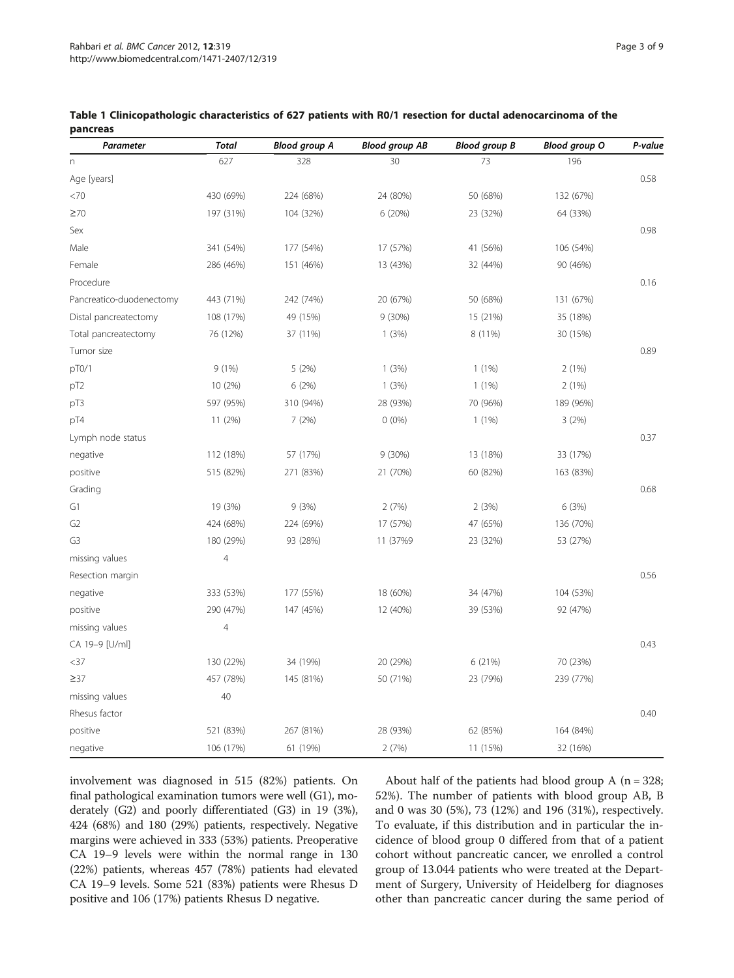| Parameter                | <b>Total</b>   | <b>Blood group A</b> | <b>Blood group AB</b> | <b>Blood group B</b> | <b>Blood group O</b> | P-value |
|--------------------------|----------------|----------------------|-----------------------|----------------------|----------------------|---------|
| $\Gamma$                 | 627            | 328                  | 30                    | 73                   | 196                  |         |
| Age [years]              |                |                      |                       |                      |                      | 0.58    |
| <70                      | 430 (69%)      | 224 (68%)            | 24 (80%)              | 50 (68%)             | 132 (67%)            |         |
| $\geq 70$                | 197 (31%)      | 104 (32%)            | 6 (20%)               | 23 (32%)             | 64 (33%)             |         |
| Sex                      |                |                      |                       |                      |                      | 0.98    |
| Male                     | 341 (54%)      | 177 (54%)            | 17 (57%)              | 41 (56%)             | 106 (54%)            |         |
| Female                   | 286 (46%)      | 151 (46%)            | 13 (43%)              | 32 (44%)             | 90 (46%)             |         |
| Procedure                |                |                      |                       |                      |                      | 0.16    |
| Pancreatico-duodenectomy | 443 (71%)      | 242 (74%)            | 20 (67%)              | 50 (68%)             | 131 (67%)            |         |
| Distal pancreatectomy    | 108 (17%)      | 49 (15%)             | $9(30\%)$             | 15 (21%)             | 35 (18%)             |         |
| Total pancreatectomy     | 76 (12%)       | 37 (11%)             | 1(3%)                 | 8 (11%)              | 30 (15%)             |         |
| Tumor size               |                |                      |                       |                      |                      | 0.89    |
| pT0/1                    | 9(1%)          | 5(2%)                | 1(3%)                 | $1(1\%)$             | 2(1%)                |         |
| pT <sub>2</sub>          | 10 (2%)        | 6(2%)                | 1(3%)                 | $1(1\%)$             | 2(1%)                |         |
| pT3                      | 597 (95%)      | 310 (94%)            | 28 (93%)              | 70 (96%)             | 189 (96%)            |         |
| pT4                      | 11 (2%)        | 7(2%)                | $0(0\%)$              | $1(1\%)$             | 3(2%)                |         |
| Lymph node status        |                |                      |                       |                      |                      | 0.37    |
| negative                 | 112 (18%)      | 57 (17%)             | 9(30%)                | 13 (18%)             | 33 (17%)             |         |
| positive                 | 515 (82%)      | 271 (83%)            | 21 (70%)              | 60 (82%)             | 163 (83%)            |         |
| Grading                  |                |                      |                       |                      |                      | 0.68    |
| G1                       | 19 (3%)        | 9(3%)                | 2(7%)                 | 2(3%)                | 6 (3%)               |         |
| G <sub>2</sub>           | 424 (68%)      | 224 (69%)            | 17 (57%)              | 47 (65%)             | 136 (70%)            |         |
| G <sub>3</sub>           | 180 (29%)      | 93 (28%)             | 11 (37%9              | 23 (32%)             | 53 (27%)             |         |
| missing values           | $\overline{4}$ |                      |                       |                      |                      |         |
| Resection margin         |                |                      |                       |                      |                      | 0.56    |
| negative                 | 333 (53%)      | 177 (55%)            | 18 (60%)              | 34 (47%)             | 104 (53%)            |         |
| positive                 | 290 (47%)      | 147 (45%)            | 12 (40%)              | 39 (53%)             | 92 (47%)             |         |
| missing values           | $\overline{4}$ |                      |                       |                      |                      |         |
| CA 19-9 [U/ml]           |                |                      |                       |                      |                      | 0.43    |
| $37$                     | 130 (22%)      | 34 (19%)             | 20 (29%)              | 6 (21%)              | 70 (23%)             |         |
| $\geq$ 37                | 457 (78%)      | 145 (81%)            | 50 (71%)              | 23 (79%)             | 239 (77%)            |         |
| missing values           | 40             |                      |                       |                      |                      |         |
| Rhesus factor            |                |                      |                       |                      |                      | 0.40    |
| positive                 | 521 (83%)      | 267 (81%)            | 28 (93%)              | 62 (85%)             | 164 (84%)            |         |
| negative                 | 106 (17%)      | 61 (19%)             | 2(7%)                 | 11 (15%)             | 32 (16%)             |         |

### <span id="page-2-0"></span>Table 1 Clinicopathologic characteristics of 627 patients with R0/1 resection for ductal adenocarcinoma of the pancreas

involvement was diagnosed in 515 (82%) patients. On final pathological examination tumors were well (G1), moderately (G2) and poorly differentiated (G3) in 19 (3%), 424 (68%) and 180 (29%) patients, respectively. Negative margins were achieved in 333 (53%) patients. Preoperative CA 19–9 levels were within the normal range in 130 (22%) patients, whereas 457 (78%) patients had elevated CA 19–9 levels. Some 521 (83%) patients were Rhesus D positive and 106 (17%) patients Rhesus D negative.

About half of the patients had blood group A ( $n = 328$ ; 52%). The number of patients with blood group AB, B and 0 was 30 (5%), 73 (12%) and 196 (31%), respectively. To evaluate, if this distribution and in particular the incidence of blood group 0 differed from that of a patient cohort without pancreatic cancer, we enrolled a control group of 13.044 patients who were treated at the Department of Surgery, University of Heidelberg for diagnoses other than pancreatic cancer during the same period of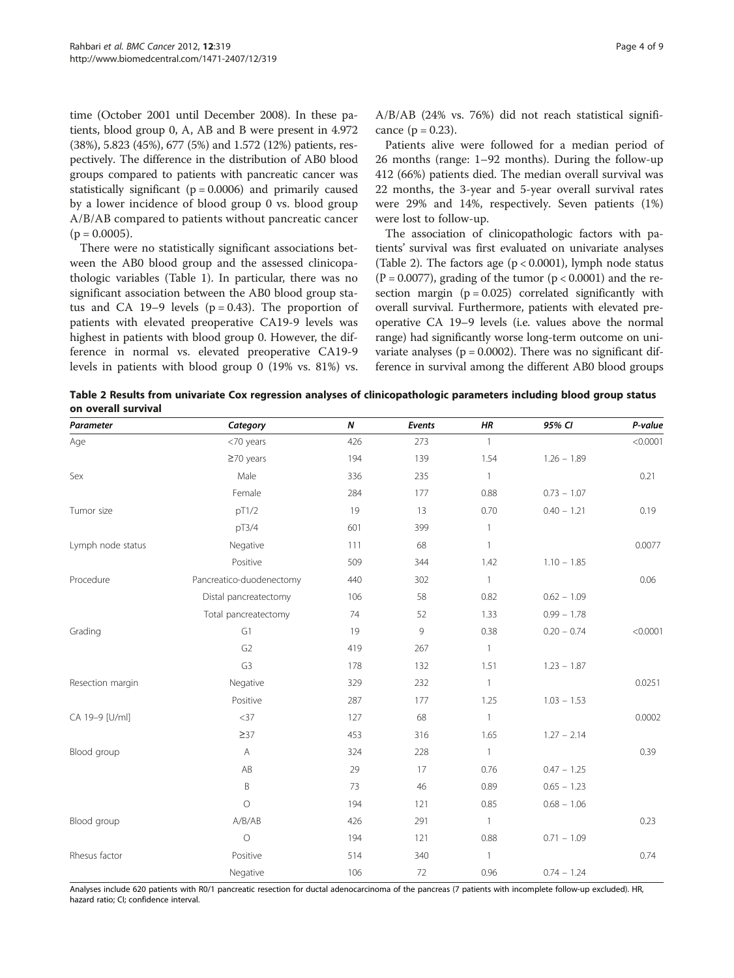time (October 2001 until December 2008). In these patients, blood group 0, A, AB and B were present in 4.972 (38%), 5.823 (45%), 677 (5%) and 1.572 (12%) patients, respectively. The difference in the distribution of AB0 blood groups compared to patients with pancreatic cancer was statistically significant ( $p = 0.0006$ ) and primarily caused by a lower incidence of blood group 0 vs. blood group A/B/AB compared to patients without pancreatic cancer  $(p = 0.0005)$ .

There were no statistically significant associations between the AB0 blood group and the assessed clinicopathologic variables (Table [1](#page-2-0)). In particular, there was no significant association between the AB0 blood group status and CA 19–9 levels  $(p = 0.43)$ . The proportion of patients with elevated preoperative CA19-9 levels was highest in patients with blood group 0. However, the difference in normal vs. elevated preoperative CA19-9 levels in patients with blood group 0 (19% vs. 81%) vs. A/B/AB (24% vs. 76%) did not reach statistical significance  $(p = 0.23)$ .

Patients alive were followed for a median period of 26 months (range: 1–92 months). During the follow-up 412 (66%) patients died. The median overall survival was 22 months, the 3-year and 5-year overall survival rates were 29% and 14%, respectively. Seven patients (1%) were lost to follow-up.

The association of clinicopathologic factors with patients' survival was first evaluated on univariate analyses (Table 2). The factors age ( $p < 0.0001$ ), lymph node status  $(P = 0.0077)$ , grading of the tumor  $(p < 0.0001)$  and the resection margin  $(p = 0.025)$  correlated significantly with overall survival. Furthermore, patients with elevated preoperative CA 19–9 levels (i.e. values above the normal range) had significantly worse long-term outcome on univariate analyses ( $p = 0.0002$ ). There was no significant difference in survival among the different AB0 blood groups

Table 2 Results from univariate Cox regression analyses of clinicopathologic parameters including blood group status on overall survival

| Parameter         | Category                 | N   | Events | ΗR           | 95% CI        | P-value  |
|-------------------|--------------------------|-----|--------|--------------|---------------|----------|
| Age               | <70 years                | 426 | 273    | $\mathbf{1}$ |               | < 0.0001 |
|                   | $\geq$ 70 years          | 194 | 139    | 1.54         | $1.26 - 1.89$ |          |
| Sex               | Male                     | 336 | 235    | $\mathbf{1}$ |               | 0.21     |
|                   | Female                   | 284 | 177    | 0.88         | $0.73 - 1.07$ |          |
| Tumor size        | pT1/2                    | 19  | 13     | 0.70         | $0.40 - 1.21$ | 0.19     |
|                   | pT3/4                    | 601 | 399    | $\mathbf{1}$ |               |          |
| Lymph node status | Negative                 | 111 | 68     | $\mathbf{1}$ |               | 0.0077   |
|                   | Positive                 | 509 | 344    | 1.42         | $1.10 - 1.85$ |          |
| Procedure         | Pancreatico-duodenectomy | 440 | 302    | $\mathbf{1}$ |               | 0.06     |
|                   | Distal pancreatectomy    | 106 | 58     | 0.82         | $0.62 - 1.09$ |          |
|                   | Total pancreatectomy     | 74  | 52     | 1.33         | $0.99 - 1.78$ |          |
| Grading           | G1                       | 19  | 9      | 0.38         | $0.20 - 0.74$ | < 0.0001 |
|                   | G <sub>2</sub>           | 419 | 267    | $\mathbf{1}$ |               |          |
|                   | G <sub>3</sub>           | 178 | 132    | 1.51         | $1.23 - 1.87$ |          |
| Resection margin  | Negative                 | 329 | 232    | $\mathbf{1}$ |               | 0.0251   |
|                   | Positive                 | 287 | 177    | 1.25         | $1.03 - 1.53$ |          |
| CA 19-9 [U/ml]    | $<$ 37                   | 127 | 68     | $\mathbf{1}$ |               | 0.0002   |
|                   | $\geq$ 37                | 453 | 316    | 1.65         | $1.27 - 2.14$ |          |
| Blood group       | $\forall$                | 324 | 228    | $\mathbf{1}$ |               | 0.39     |
|                   | AB                       | 29  | 17     | 0.76         | $0.47 - 1.25$ |          |
|                   | B                        | 73  | 46     | 0.89         | $0.65 - 1.23$ |          |
|                   | $\circ$                  | 194 | 121    | 0.85         | $0.68 - 1.06$ |          |
| Blood group       | A/B/AB                   | 426 | 291    | $\mathbf{1}$ |               | 0.23     |
|                   | $\circ$                  | 194 | 121    | 0.88         | $0.71 - 1.09$ |          |
| Rhesus factor     | Positive                 | 514 | 340    | $\mathbf{1}$ |               | 0.74     |
|                   | Negative                 | 106 | 72     | 0.96         | $0.74 - 1.24$ |          |

Analyses include 620 patients with R0/1 pancreatic resection for ductal adenocarcinoma of the pancreas (7 patients with incomplete follow-up excluded). HR, hazard ratio; CI; confidence interval.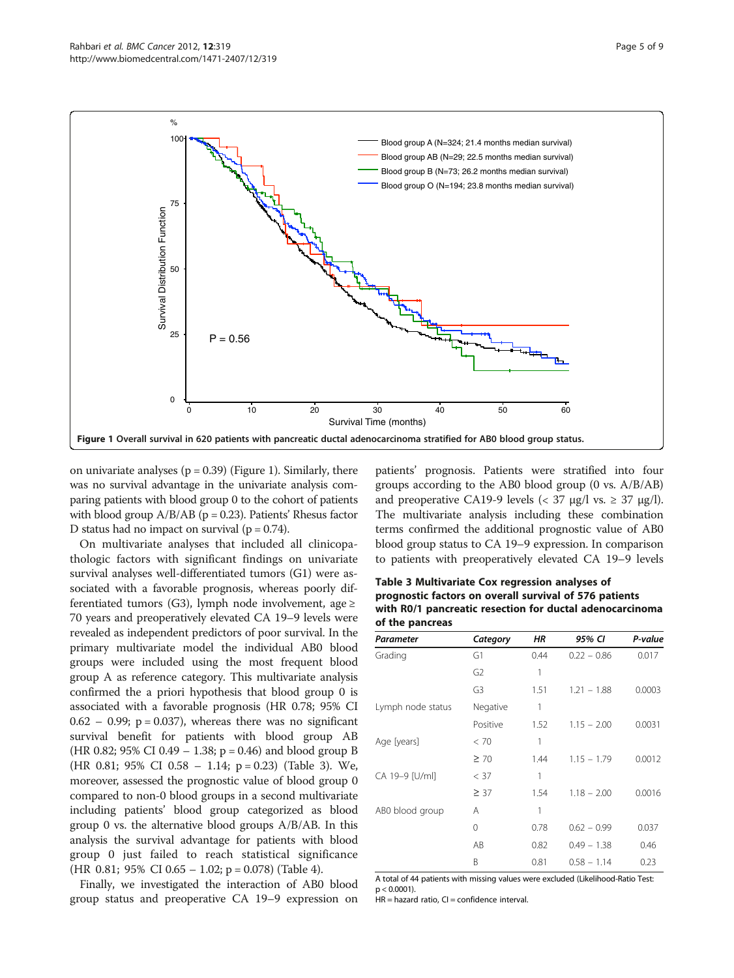

on univariate analyses ( $p = 0.39$ ) (Figure 1). Similarly, there was no survival advantage in the univariate analysis comparing patients with blood group 0 to the cohort of patients with blood group  $A/B/AB$  (p = 0.23). Patients' Rhesus factor D status had no impact on survival ( $p = 0.74$ ).

On multivariate analyses that included all clinicopathologic factors with significant findings on univariate survival analyses well-differentiated tumors (G1) were associated with a favorable prognosis, whereas poorly differentiated tumors (G3), lymph node involvement, age ≥ 70 years and preoperatively elevated CA 19–9 levels were revealed as independent predictors of poor survival. In the primary multivariate model the individual AB0 blood groups were included using the most frequent blood group A as reference category. This multivariate analysis confirmed the a priori hypothesis that blood group 0 is associated with a favorable prognosis (HR 0.78; 95% CI  $0.62 - 0.99$ ;  $p = 0.037$ ), whereas there was no significant survival benefit for patients with blood group AB (HR 0.82; 95% CI 0.49 – 1.38;  $p = 0.46$ ) and blood group B (HR 0.81; 95% CI 0.58 – 1.14; p = 0.23) (Table 3). We, moreover, assessed the prognostic value of blood group 0 compared to non-0 blood groups in a second multivariate including patients' blood group categorized as blood group 0 vs. the alternative blood groups A/B/AB. In this analysis the survival advantage for patients with blood group 0 just failed to reach statistical significance (HR 0.81; 95% CI 0.65 – 1.02; p = 0.078) (Table [4](#page-5-0)).

Finally, we investigated the interaction of AB0 blood group status and preoperative CA 19–9 expression on patients' prognosis. Patients were stratified into four groups according to the AB0 blood group (0 vs. A/B/AB) and preoperative CA19-9 levels ( $<$  37  $\mu$ g/l vs.  $\ge$  37  $\mu$ g/l). The multivariate analysis including these combination terms confirmed the additional prognostic value of AB0 blood group status to CA 19–9 expression. In comparison to patients with preoperatively elevated CA 19–9 levels

Table 3 Multivariate Cox regression analyses of prognostic factors on overall survival of 576 patients with R0/1 pancreatic resection for ductal adenocarcinoma of the pancreas

| Parameter         | Category       | ΗR   | 95% CI        | P-value |
|-------------------|----------------|------|---------------|---------|
| Grading           | G1             | 0.44 | $0.22 - 0.86$ | 0.017   |
|                   | G <sub>2</sub> | 1    |               |         |
|                   | G3             | 1.51 | $1.21 - 1.88$ | 0.0003  |
| Lymph node status | Negative       | 1    |               |         |
|                   | Positive       | 1.52 | $1.15 - 2.00$ | 0.0031  |
| Age [years]       | < 70           | 1    |               |         |
|                   | $\geq 70$      | 1.44 | $1.15 - 1.79$ | 0.0012  |
| CA 19-9 [U/ml]    | < 37           | 1    |               |         |
|                   | $\geq$ 37      | 1.54 | $1.18 - 2.00$ | 0.0016  |
| ABO blood group   | А              | 1    |               |         |
|                   | 0              | 0.78 | $0.62 - 0.99$ | 0.037   |
|                   | AB             | 0.82 | $0.49 - 1.38$ | 0.46    |
|                   | B              | 0.81 | $0.58 - 1.14$ | 0.23    |

A total of 44 patients with missing values were excluded (Likelihood-Ratio Test:  $p < 0.0001$ ).

 $HR =$  hazard ratio,  $CI =$  confidence interval.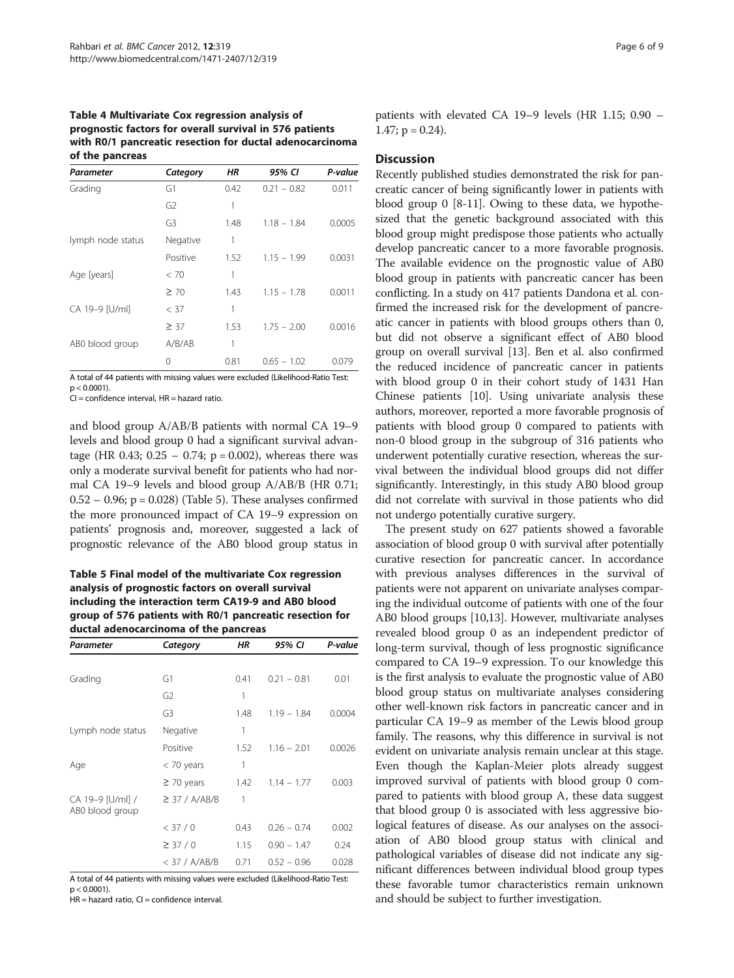<span id="page-5-0"></span>Table 4 Multivariate Cox regression analysis of prognostic factors for overall survival in 576 patients with R0/1 pancreatic resection for ductal adenocarcinoma of the pancreas

| Parameter         | Category       | ΗR   | 95% CI        | P-value |
|-------------------|----------------|------|---------------|---------|
| Grading           | G1             | 0.42 | $0.21 - 0.82$ | 0.011   |
|                   | G <sub>2</sub> | 1    |               |         |
|                   | G3             | 1.48 | $1.18 - 1.84$ | 0.0005  |
| lymph node status | Negative       | 1    |               |         |
|                   | Positive       | 1.52 | $1.15 - 1.99$ | 0.0031  |
| Age [years]       | < 70           | 1    |               |         |
|                   | $\geq 70$      | 1.43 | $1.15 - 1.78$ | 0.0011  |
| CA 19-9 [U/ml]    | < 37           | 1    |               |         |
|                   | $\geq$ 37      | 1.53 | $1.75 - 2.00$ | 0.0016  |
| ABO blood group   | A/B/AB         | 1    |               |         |
|                   | Ω              | 0.81 | $0.65 - 1.02$ | 0.079   |

A total of 44 patients with missing values were excluded (Likelihood-Ratio Test:  $p < 0.0001$ ).

 $CI =$  confidence interval,  $HR =$  hazard ratio.

and blood group A/AB/B patients with normal CA 19–9 levels and blood group 0 had a significant survival advantage (HR 0.43;  $0.25 - 0.74$ ;  $p = 0.002$ ), whereas there was only a moderate survival benefit for patients who had normal CA 19–9 levels and blood group A/AB/B (HR 0.71;  $0.52 - 0.96$ ; p = 0.028) (Table 5). These analyses confirmed the more pronounced impact of CA 19–9 expression on patients' prognosis and, moreover, suggested a lack of prognostic relevance of the AB0 blood group status in

Table 5 Final model of the multivariate Cox regression analysis of prognostic factors on overall survival including the interaction term CA19-9 and AB0 blood group of 576 patients with R0/1 pancreatic resection for ductal adenocarcinoma of the pancreas

| Parameter                           | Category           | ΗR   | 95% CI        | P-value |
|-------------------------------------|--------------------|------|---------------|---------|
|                                     |                    |      |               |         |
| Grading                             | G1                 | 0.41 | $0.21 - 0.81$ | 0.01    |
|                                     | G2                 | 1    |               |         |
|                                     | G <sub>3</sub>     | 1.48 | $1.19 - 1.84$ | 0.0004  |
| Lymph node status                   | Negative           | 1    |               |         |
|                                     | Positive           | 1.52 | $1.16 - 2.01$ | 0.0026  |
| Age                                 | $<$ 70 years       | 1    |               |         |
|                                     | $\geq$ 70 years    | 1.42 | $1.14 - 1.77$ | 0.003   |
| CA 19-9 [U/ml] /<br>AB0 blood group | $\geq$ 37 / A/AB/B | 1    |               |         |
|                                     | < 37/0             | 0.43 | $0.26 - 0.74$ | 0.002   |
|                                     | $\geq$ 37 / 0      | 1.15 | $0.90 - 1.47$ | 0.24    |
|                                     | $<$ 37 / A/AB/B    | 0.71 | $0.52 - 0.96$ | 0.028   |

A total of 44 patients with missing values were excluded (Likelihood-Ratio Test:  $p < 0.0001$ ).

 $HR =$  hazard ratio,  $CI =$  confidence interval.

patients with elevated CA 19–9 levels (HR 1.15; 0.90 – 1.47;  $p = 0.24$ ).

#### **Discussion**

Recently published studies demonstrated the risk for pancreatic cancer of being significantly lower in patients with blood group 0 [[8-11\]](#page-7-0). Owing to these data, we hypothesized that the genetic background associated with this blood group might predispose those patients who actually develop pancreatic cancer to a more favorable prognosis. The available evidence on the prognostic value of AB0 blood group in patients with pancreatic cancer has been conflicting. In a study on 417 patients Dandona et al. confirmed the increased risk for the development of pancreatic cancer in patients with blood groups others than 0, but did not observe a significant effect of AB0 blood group on overall survival [\[13](#page-7-0)]. Ben et al. also confirmed the reduced incidence of pancreatic cancer in patients with blood group 0 in their cohort study of 1431 Han Chinese patients [\[10\]](#page-7-0). Using univariate analysis these authors, moreover, reported a more favorable prognosis of patients with blood group 0 compared to patients with non-0 blood group in the subgroup of 316 patients who underwent potentially curative resection, whereas the survival between the individual blood groups did not differ significantly. Interestingly, in this study AB0 blood group did not correlate with survival in those patients who did not undergo potentially curative surgery.

The present study on 627 patients showed a favorable association of blood group 0 with survival after potentially curative resection for pancreatic cancer. In accordance with previous analyses differences in the survival of patients were not apparent on univariate analyses comparing the individual outcome of patients with one of the four AB0 blood groups [[10](#page-7-0),[13](#page-7-0)]. However, multivariate analyses revealed blood group 0 as an independent predictor of long-term survival, though of less prognostic significance compared to CA 19–9 expression. To our knowledge this is the first analysis to evaluate the prognostic value of AB0 blood group status on multivariate analyses considering other well-known risk factors in pancreatic cancer and in particular CA 19–9 as member of the Lewis blood group family. The reasons, why this difference in survival is not evident on univariate analysis remain unclear at this stage. Even though the Kaplan-Meier plots already suggest improved survival of patients with blood group 0 compared to patients with blood group A, these data suggest that blood group 0 is associated with less aggressive biological features of disease. As our analyses on the association of AB0 blood group status with clinical and pathological variables of disease did not indicate any significant differences between individual blood group types these favorable tumor characteristics remain unknown and should be subject to further investigation.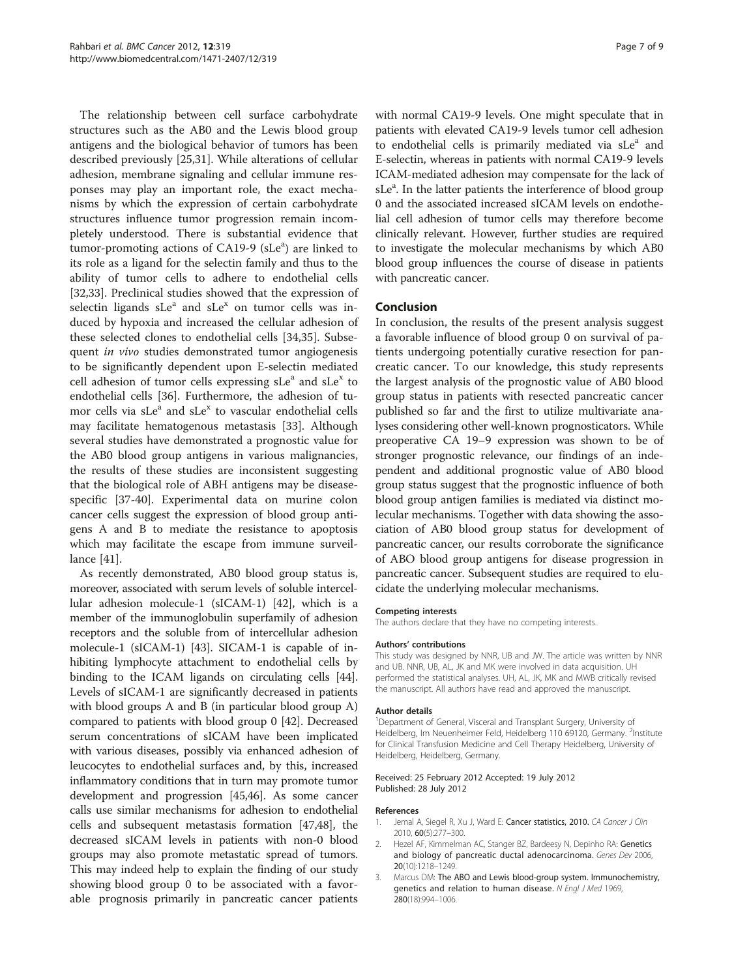<span id="page-6-0"></span>The relationship between cell surface carbohydrate structures such as the AB0 and the Lewis blood group antigens and the biological behavior of tumors has been described previously [\[25,31](#page-7-0)]. While alterations of cellular adhesion, membrane signaling and cellular immune responses may play an important role, the exact mechanisms by which the expression of certain carbohydrate structures influence tumor progression remain incompletely understood. There is substantial evidence that tumor-promoting actions of CA19-9 (sLe<sup>a</sup>) are linked to its role as a ligand for the selectin family and thus to the ability of tumor cells to adhere to endothelial cells [[32,33\]](#page-7-0). Preclinical studies showed that the expression of selectin ligands  $sLe^a$  and  $sLe^x$  on tumor cells was induced by hypoxia and increased the cellular adhesion of these selected clones to endothelial cells [\[34,35](#page-7-0)]. Subsequent in vivo studies demonstrated tumor angiogenesis to be significantly dependent upon E-selectin mediated cell adhesion of tumor cells expressing  $sLe^a$  and  $sLe^x$  to endothelial cells [\[36\]](#page-7-0). Furthermore, the adhesion of tumor cells via sLe<sup>a</sup> and sLe<sup>x</sup> to vascular endothelial cells may facilitate hematogenous metastasis [\[33\]](#page-7-0). Although several studies have demonstrated a prognostic value for the AB0 blood group antigens in various malignancies, the results of these studies are inconsistent suggesting that the biological role of ABH antigens may be diseasespecific [\[37](#page-7-0)-[40\]](#page-7-0). Experimental data on murine colon cancer cells suggest the expression of blood group antigens A and B to mediate the resistance to apoptosis which may facilitate the escape from immune surveillance [[41\]](#page-7-0).

As recently demonstrated, AB0 blood group status is, moreover, associated with serum levels of soluble intercellular adhesion molecule-1 (sICAM-1) [\[42](#page-7-0)], which is a member of the immunoglobulin superfamily of adhesion receptors and the soluble from of intercellular adhesion molecule-1 (sICAM-1) [[43\]](#page-7-0). SICAM-1 is capable of inhibiting lymphocyte attachment to endothelial cells by binding to the ICAM ligands on circulating cells [[44](#page-7-0)]. Levels of sICAM-1 are significantly decreased in patients with blood groups A and B (in particular blood group A) compared to patients with blood group 0 [\[42\]](#page-7-0). Decreased serum concentrations of sICAM have been implicated with various diseases, possibly via enhanced adhesion of leucocytes to endothelial surfaces and, by this, increased inflammatory conditions that in turn may promote tumor development and progression [\[45,46\]](#page-8-0). As some cancer calls use similar mechanisms for adhesion to endothelial cells and subsequent metastasis formation [[47,48](#page-8-0)], the decreased sICAM levels in patients with non-0 blood groups may also promote metastatic spread of tumors. This may indeed help to explain the finding of our study showing blood group 0 to be associated with a favorable prognosis primarily in pancreatic cancer patients

with normal CA19-9 levels. One might speculate that in patients with elevated CA19-9 levels tumor cell adhesion to endothelial cells is primarily mediated via sLe<sup>a</sup> and E-selectin, whereas in patients with normal CA19-9 levels ICAM-mediated adhesion may compensate for the lack of sLe<sup>a</sup>. In the latter patients the interference of blood group 0 and the associated increased sICAM levels on endothelial cell adhesion of tumor cells may therefore become clinically relevant. However, further studies are required to investigate the molecular mechanisms by which AB0 blood group influences the course of disease in patients with pancreatic cancer.

# Conclusion

In conclusion, the results of the present analysis suggest a favorable influence of blood group 0 on survival of patients undergoing potentially curative resection for pancreatic cancer. To our knowledge, this study represents the largest analysis of the prognostic value of AB0 blood group status in patients with resected pancreatic cancer published so far and the first to utilize multivariate analyses considering other well-known prognosticators. While preoperative CA 19–9 expression was shown to be of stronger prognostic relevance, our findings of an independent and additional prognostic value of AB0 blood group status suggest that the prognostic influence of both blood group antigen families is mediated via distinct molecular mechanisms. Together with data showing the association of AB0 blood group status for development of pancreatic cancer, our results corroborate the significance of ABO blood group antigens for disease progression in pancreatic cancer. Subsequent studies are required to elucidate the underlying molecular mechanisms.

#### Competing interests

The authors declare that they have no competing interests.

#### Authors' contributions

This study was designed by NNR, UB and JW. The article was written by NNR and UB. NNR, UB, AL, JK and MK were involved in data acquisition. UH performed the statistical analyses. UH, AL, JK, MK and MWB critically revised the manuscript. All authors have read and approved the manuscript.

#### Author details

<sup>1</sup>Department of General, Visceral and Transplant Surgery, University of Heidelberg, Im Neuenheimer Feld, Heidelberg 110 69120, Germany. <sup>2</sup>Institute for Clinical Transfusion Medicine and Cell Therapy Heidelberg, University of Heidelberg, Heidelberg, Germany.

#### Received: 25 February 2012 Accepted: 19 July 2012 Published: 28 July 2012

#### References

- 1. Jemal A, Siegel R, Xu J, Ward E: Cancer statistics, 2010. CA Cancer J Clin 2010, 60(5):277–300.
- 2. Hezel AF, Kimmelman AC, Stanger BZ, Bardeesy N, Depinho RA: Genetics and biology of pancreatic ductal adenocarcinoma. Genes Dev 2006, 20(10):1218–1249.
- 3. Marcus DM: The ABO and Lewis blood-group system. Immunochemistry, genetics and relation to human disease. N Engl J Med 1969, 280(18):994–1006.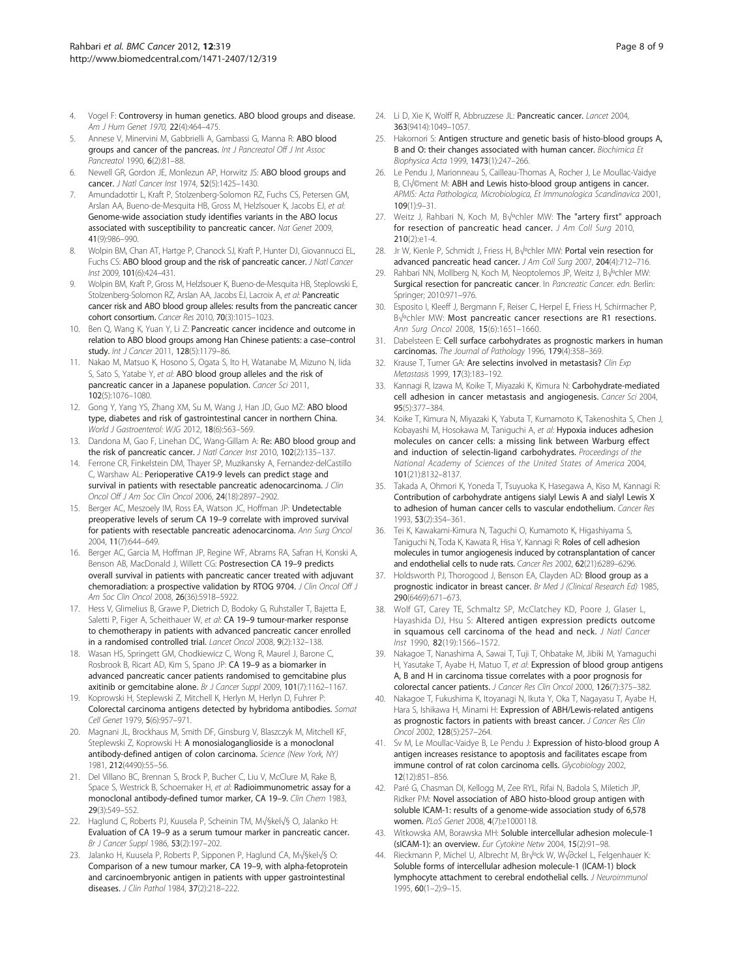- <span id="page-7-0"></span>4. Vogel F: Controversy in human genetics. ABO blood groups and disease. Am J Hum Genet 1970, 22(4):464–475.
- 5. Annese V, Minervini M, Gabbrielli A, Gambassi G, Manna R: ABO blood groups and cancer of the pancreas. Int J Pancreatol Off J Int Assoc Pancreatol 1990, 6(2):81–88.
- 6. Newell GR, Gordon JE, Monlezun AP, Horwitz JS: ABO blood groups and cancer. J Natl Cancer Inst 1974, 52(5):1425–1430.
- 7. Amundadottir L, Kraft P, Stolzenberg-Solomon RZ, Fuchs CS, Petersen GM, Arslan AA, Bueno-de-Mesquita HB, Gross M, Helzlsouer K, Jacobs EJ, et al: Genome-wide association study identifies variants in the ABO locus associated with susceptibility to pancreatic cancer. Nat Genet 2009, 41(9):986–990.
- 8. Wolpin BM, Chan AT, Hartge P, Chanock SJ, Kraft P, Hunter DJ, Giovannucci EL, Fuchs CS: ABO blood group and the risk of pancreatic cancer. J Natl Cancer Inst 2009, 101(6):424–431.
- 9. Wolpin BM, Kraft P, Gross M, Helzlsouer K, Bueno-de-Mesquita HB, Steplowski E, Stolzenberg-Solomon RZ, Arslan AA, Jacobs EJ, Lacroix A, et al: Pancreatic cancer risk and ABO blood group alleles: results from the pancreatic cancer cohort consortium. Cancer Res 2010, 70(3):1015–1023.
- 10. Ben Q, Wang K, Yuan Y, Li Z: Pancreatic cancer incidence and outcome in relation to ABO blood groups among Han Chinese patients: a case–control study. Int J Cancer 2011, 128(5):1179-86.
- 11. Nakao M, Matsuo K, Hosono S, Ogata S, Ito H, Watanabe M, Mizuno N, Iida S, Sato S, Yatabe Y, et al: ABO blood group alleles and the risk of pancreatic cancer in a Japanese population. Cancer Sci 2011, 102(5):1076–1080.
- 12. Gong Y, Yang YS, Zhang XM, Su M, Wang J, Han JD, Guo MZ: ABO blood type, diabetes and risk of gastrointestinal cancer in northern China. World J Gastroenterol: WJG 2012, 18(6):563–569.
- 13. Dandona M, Gao F, Linehan DC, Wang-Gillam A: Re: ABO blood group and the risk of pancreatic cancer. J Natl Cancer Inst 2010, 102(2):135-137.
- 14. Ferrone CR, Finkelstein DM, Thayer SP, Muzikansky A, Fernandez-delCastillo C, Warshaw AL: Perioperative CA19-9 levels can predict stage and survival in patients with resectable pancreatic adenocarcinoma. J Clin Oncol Off J Am Soc Clin Oncol 2006, 24(18):2897–2902.
- 15. Berger AC, Meszoely IM, Ross EA, Watson JC, Hoffman JP: Undetectable preoperative levels of serum CA 19–9 correlate with improved survival for patients with resectable pancreatic adenocarcinoma. Ann Surg Oncol 2004, 11(7):644–649.
- 16. Berger AC, Garcia M, Hoffman JP, Regine WF, Abrams RA, Safran H, Konski A, Benson AB, MacDonald J, Willett CG: Postresection CA 19–9 predicts overall survival in patients with pancreatic cancer treated with adjuvant chemoradiation: a prospective validation by RTOG 9704. J Clin Oncol Off J Am Soc Clin Oncol 2008, 26(36):5918–5922.
- 17. Hess V, Glimelius B, Grawe P, Dietrich D, Bodoky G, Ruhstaller T, Bajetta E, Saletti P, Figer A, Scheithauer W, et al: CA 19-9 tumour-marker response to chemotherapy in patients with advanced pancreatic cancer enrolled in a randomised controlled trial. Lancet Oncol 2008, 9(2):132–138.
- 18. Wasan HS, Springett GM, Chodkiewicz C, Wong R, Maurel J, Barone C, Rosbrook B, Ricart AD, Kim S, Spano JP: CA 19–9 as a biomarker in advanced pancreatic cancer patients randomised to gemcitabine plus axitinib or gemcitabine alone. Br J Cancer Suppl 2009, 101(7):1162-1167.
- 19. Koprowski H, Steplewski Z, Mitchell K, Herlyn M, Herlyn D, Fuhrer P: Colorectal carcinoma antigens detected by hybridoma antibodies. Somat Cell Genet 1979, 5(6):957–971.
- 20. Magnani JL, Brockhaus M, Smith DF, Ginsburg V, Blaszczyk M, Mitchell KF, Steplewski Z, Koprowski H: A monosialoganglioside is a monoclonal antibody-defined antigen of colon carcinoma. Science (New York, NY) 1981, 212(4490):55–56.
- 21. Del Villano BC, Brennan S, Brock P, Bucher C, Liu V, McClure M, Rake B, Space S, Westrick B, Schoemaker H, et al: Radioimmunometric assay for a monoclonal antibody-defined tumor marker, CA 19-9. Clin Chem 1983, 29(3):549–552.
- 22. Haglund C, Roberts PJ, Kuusela P, Scheinin TM, M√§kel√§ O, Jalanko H: Evaluation of CA 19–9 as a serum tumour marker in pancreatic cancer. Br J Cancer Suppl 1986, 53(2):197–202.
- 23. Jalanko H, Kuusela P, Roberts P, Sipponen P, Haglund CA, M√§kel√§ O: Comparison of a new tumour marker, CA 19–9, with alpha-fetoprotein and carcinoembryonic antigen in patients with upper gastrointestinal diseases. J Clin Pathol 1984, 37(2):218–222.
- 24. Li D, Xie K, Wolff R, Abbruzzese JL: Pancreatic cancer. Lancet 2004, 363(9414):1049–1057.
- 25. Hakomori S: Antigen structure and genetic basis of histo-blood groups A, B and O: their changes associated with human cancer. Biochimica Et Biophysica Acta 1999, 1473(1):247–266.
- 26. Le Pendu J, Marionneau S, Cailleau-Thomas A, Rocher J, Le Moullac-Vaidye B, Cl√©ment M: ABH and Lewis histo-blood group antigens in cancer. APMIS: Acta Pathologica, Microbiologica, Et Immunologica Scandinavica 2001,  $109(1) \cdot 9 - 31$
- 27. Weitz J, Rahbari N, Koch M, B√°chler MW: The "artery first" approach for resection of pancreatic head cancer. J Am Coll Surg 2010,  $210(2)$ :e1-4
- 28. Jr W, Kienle P, Schmidt J, Friess H, Büchler MW: Portal vein resection for advanced pancreatic head cancer. J Am Coll Surg 2007, 204(4):712–716.
- 29. Rahbari NN, Mollberg N, Koch M, Neoptolemos JP, Weitz J, B√ºchler MW: Surgical resection for pancreatic cancer. In Pancreatic Cancer, edn. Berlin: Springer; 2010:971–976.
- 30. Esposito I, Kleeff J, Bergmann F, Reiser C, Herpel E, Friess H, Schirmacher P, B√ºchler MW: Most pancreatic cancer resections are R1 resections. Ann Surg Oncol 2008, 15(6):1651–1660.
- 31. Dabelsteen E: Cell surface carbohydrates as prognostic markers in human carcinomas. The Journal of Pathology 1996, 179(4):358–369.
- 32. Krause T, Turner GA: Are selectins involved in metastasis? Clin Exp Metastasis 1999, 17(3):183–192.
- 33. Kannagi R, Izawa M, Koike T, Miyazaki K, Kimura N: Carbohydrate-mediated cell adhesion in cancer metastasis and angiogenesis. Cancer Sci 2004, 95(5):377–384.
- 34. Koike T, Kimura N, Miyazaki K, Yabuta T, Kumamoto K, Takenoshita S, Chen J, Kobayashi M, Hosokawa M, Taniguchi A, et al: Hypoxia induces adhesion molecules on cancer cells: a missing link between Warburg effect and induction of selectin-ligand carbohydrates. Proceedings of the National Academy of Sciences of the United States of America 2004, 101(21):8132–8137.
- 35. Takada A, Ohmori K, Yoneda T, Tsuyuoka K, Hasegawa A, Kiso M, Kannagi R: Contribution of carbohydrate antigens sialyl Lewis A and sialyl Lewis X to adhesion of human cancer cells to vascular endothelium. Cancer Res 1993, 53(2):354–361.
- 36. Tei K, Kawakami-Kimura N, Taguchi O, Kumamoto K, Higashiyama S, Taniguchi N, Toda K, Kawata R, Hisa Y, Kannagi R: Roles of cell adhesion molecules in tumor angiogenesis induced by cotransplantation of cancer and endothelial cells to nude rats. Cancer Res 2002, 62(21):6289–6296.
- 37. Holdsworth PJ, Thorogood J, Benson EA, Clayden AD: Blood group as a prognostic indicator in breast cancer. Br Med J (Clinical Research Ed) 1985, 290(6469):671–673.
- 38. Wolf GT, Carey TE, Schmaltz SP, McClatchey KD, Poore J, Glaser L, Hayashida DJ, Hsu S: Altered antigen expression predicts outcome in squamous cell carcinoma of the head and neck. J Natl Cancer Inst 1990, 82(19):1566–1572.
- 39. Nakagoe T, Nanashima A, Sawai T, Tuji T, Ohbatake M, Jibiki M, Yamaguchi H, Yasutake T, Ayabe H, Matuo T, et al: Expression of blood group antigens A, B and H in carcinoma tissue correlates with a poor prognosis for colorectal cancer patients. J Cancer Res Clin Oncol 2000, 126(7):375–382.
- 40. Nakagoe T, Fukushima K, Itoyanagi N, Ikuta Y, Oka T, Nagayasu T, Ayabe H, Hara S, Ishikawa H, Minami H: Expression of ABH/Lewis-related antigens as prognostic factors in patients with breast cancer. J Cancer Res Clin Oncol 2002, 128(5):257–264.
- 41. Sv M, Le Moullac-Vaidye B, Le Pendu J: Expression of histo-blood group A antigen increases resistance to apoptosis and facilitates escape from immune control of rat colon carcinoma cells. Glycobiology 2002, 12(12):851–856.
- 42. Paré G, Chasman DI, Kellogg M, Zee RYL, Rifai N, Badola S, Miletich JP, Ridker PM: Novel association of ABO histo-blood group antigen with soluble ICAM-1: results of a genome-wide association study of 6,578 women. PLoS Genet 2008, 4(7):e1000118.
- 43. Witkowska AM, Borawska MH: Soluble intercellular adhesion molecule-1 (sICAM-1): an overview. Eur Cytokine Netw 2004, 15(2):91–98.
- 44. Rieckmann P, Michel U, Albrecht M, Bráck W, Wöckel L, Felgenhauer K: Soluble forms of intercellular adhesion molecule-1 (ICAM-1) block lymphocyte attachment to cerebral endothelial cells. J Neuroimmunol 1995, 60(1–2):9–15.